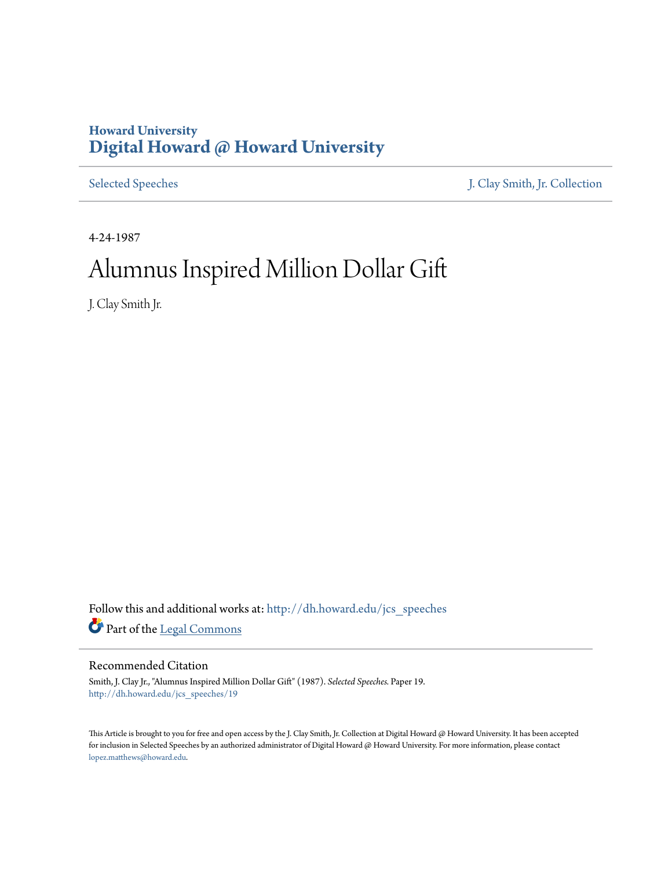## **Howard University [Digital Howard @ Howard University](http://dh.howard.edu?utm_source=dh.howard.edu%2Fjcs_speeches%2F19&utm_medium=PDF&utm_campaign=PDFCoverPages)**

[Selected Speeches](http://dh.howard.edu/jcs_speeches?utm_source=dh.howard.edu%2Fjcs_speeches%2F19&utm_medium=PDF&utm_campaign=PDFCoverPages) [J. Clay Smith, Jr. Collection](http://dh.howard.edu/jcsmith?utm_source=dh.howard.edu%2Fjcs_speeches%2F19&utm_medium=PDF&utm_campaign=PDFCoverPages)

4-24-1987

## Alumnus Inspired Million Dollar Gift

J. Clay Smith Jr.

Follow this and additional works at: [http://dh.howard.edu/jcs\\_speeches](http://dh.howard.edu/jcs_speeches?utm_source=dh.howard.edu%2Fjcs_speeches%2F19&utm_medium=PDF&utm_campaign=PDFCoverPages) Part of the [Legal Commons](http://network.bepress.com/hgg/discipline/502?utm_source=dh.howard.edu%2Fjcs_speeches%2F19&utm_medium=PDF&utm_campaign=PDFCoverPages)

## Recommended Citation

Smith, J. Clay Jr., "Alumnus Inspired Million Dollar Gift" (1987). *Selected Speeches.* Paper 19. [http://dh.howard.edu/jcs\\_speeches/19](http://dh.howard.edu/jcs_speeches/19?utm_source=dh.howard.edu%2Fjcs_speeches%2F19&utm_medium=PDF&utm_campaign=PDFCoverPages)

This Article is brought to you for free and open access by the J. Clay Smith, Jr. Collection at Digital Howard @ Howard University. It has been accepted for inclusion in Selected Speeches by an authorized administrator of Digital Howard @ Howard University. For more information, please contact [lopez.matthews@howard.edu.](mailto:lopez.matthews@howard.edu)